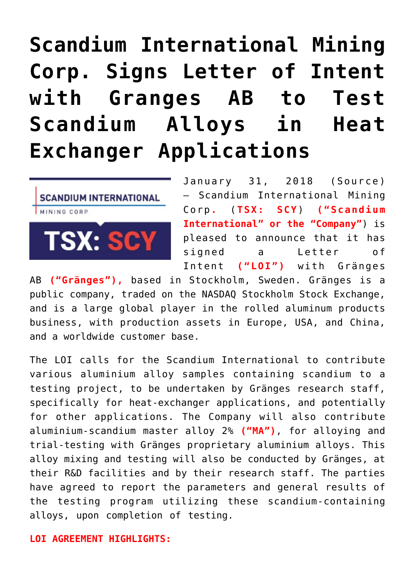# **[Scandium International Mining](https://investorintel.com/markets/technology-metals/technology-metals-news/scandium-international-mining-corp-signs-letter-intent-granges-ab-test-scandium-alloys-heat-exchanger-applications/) [Corp. Signs Letter of Intent](https://investorintel.com/markets/technology-metals/technology-metals-news/scandium-international-mining-corp-signs-letter-intent-granges-ab-test-scandium-alloys-heat-exchanger-applications/) [with Granges AB to Test](https://investorintel.com/markets/technology-metals/technology-metals-news/scandium-international-mining-corp-signs-letter-intent-granges-ab-test-scandium-alloys-heat-exchanger-applications/) [Scandium Alloys in Heat](https://investorintel.com/markets/technology-metals/technology-metals-news/scandium-international-mining-corp-signs-letter-intent-granges-ab-test-scandium-alloys-heat-exchanger-applications/) [Exchanger Applications](https://investorintel.com/markets/technology-metals/technology-metals-news/scandium-international-mining-corp-signs-letter-intent-granges-ab-test-scandium-alloys-heat-exchanger-applications/)**



January 31, 2018 ([Source\)](https://investorintel.com/iintel-members/scandium-international-mining-corp/) — Scandium International Mining Corp**.** (**TSX: SCY**) **("Scandium International" or the "Company"**) is pleased to announce that it has signed a Letter of Intent **("LOI")** with Gränges

AB **("Gränges"),** based in Stockholm, Sweden. Gränges is a public company, traded on the NASDAQ Stockholm Stock Exchange, and is a large global player in the rolled aluminum products business, with production assets in Europe, USA, and China, and a worldwide customer base.

The LOI calls for the Scandium International to contribute various aluminium alloy samples containing scandium to a testing project, to be undertaken by Gränges research staff, specifically for heat-exchanger applications, and potentially for other applications. The Company will also contribute aluminium-scandium master alloy 2% **("MA")**, for alloying and trial-testing with Gränges proprietary aluminium alloys. This alloy mixing and testing will also be conducted by Gränges, at their R&D facilities and by their research staff. The parties have agreed to report the parameters and general results of the testing program utilizing these scandium-containing alloys, upon completion of testing.

#### **LOI AGREEMENT HIGHLIGHTS:**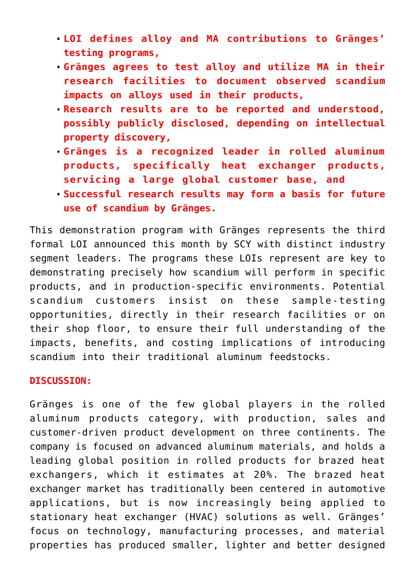- **LOI defines alloy and MA contributions to Gränges' testing programs,**
- **Gränges agrees to test alloy and utilize MA in their research facilities to document observed scandium impacts on alloys used in their products,**
- **Research results are to be reported and understood, possibly publicly disclosed, depending on intellectual property discovery,**
- **Gränges is a recognized leader in rolled aluminum products, specifically heat exchanger products, servicing a large global customer base, and**
- **Successful research results may form a basis for future use of scandium by Gränges.**

This demonstration program with Gränges represents the third formal LOI announced this month by SCY with distinct industry segment leaders. The programs these LOIs represent are key to demonstrating precisely how scandium will perform in specific products, and in production-specific environments. Potential scandium customers insist on these sample-testing opportunities, directly in their research facilities or on their shop floor, to ensure their full understanding of the impacts, benefits, and costing implications of introducing scandium into their traditional aluminum feedstocks.

### **DISCUSSION:**

Gränges is one of the few global players in the rolled aluminum products category, with production, sales and customer-driven product development on three continents. The company is focused on advanced aluminum materials, and holds a leading global position in rolled products for brazed heat exchangers, which it estimates at 20%. The brazed heat exchanger market has traditionally been centered in automotive applications, but is now increasingly being applied to stationary heat exchanger (HVAC) solutions as well. Gränges' focus on technology, manufacturing processes, and material properties has produced smaller, lighter and better designed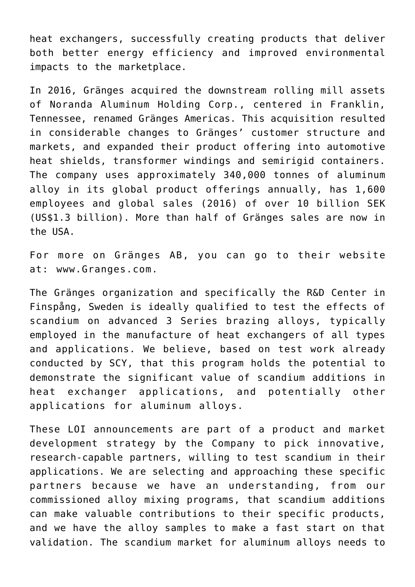heat exchangers, successfully creating products that deliver both better energy efficiency and improved environmental impacts to the marketplace.

In 2016, Gränges acquired the downstream rolling mill assets of Noranda Aluminum Holding Corp., centered in Franklin, Tennessee, renamed Gränges Americas. This acquisition resulted in considerable changes to Gränges' customer structure and markets, and expanded their product offering into automotive heat shields, transformer windings and semirigid containers. The company uses approximately 340,000 tonnes of aluminum alloy in its global product offerings annually, has 1,600 employees and global sales (2016) of over 10 billion SEK (US\$1.3 billion). More than half of Gränges sales are now in the USA.

For more on Gränges AB, you can go to their website at: [www.Granges.com.](http://www.granges.com/)

The Gränges organization and specifically the R&D Center in Finspång, Sweden is ideally qualified to test the effects of scandium on advanced 3 Series brazing alloys, typically employed in the manufacture of heat exchangers of all types and applications. We believe, based on test work already conducted by SCY, that this program holds the potential to demonstrate the significant value of scandium additions in heat exchanger applications, and potentially other applications for aluminum alloys.

These LOI announcements are part of a product and market development strategy by the Company to pick innovative, research-capable partners, willing to test scandium in their applications. We are selecting and approaching these specific partners because we have an understanding, from our commissioned alloy mixing programs, that scandium additions can make valuable contributions to their specific products, and we have the alloy samples to make a fast start on that validation. The scandium market for aluminum alloys needs to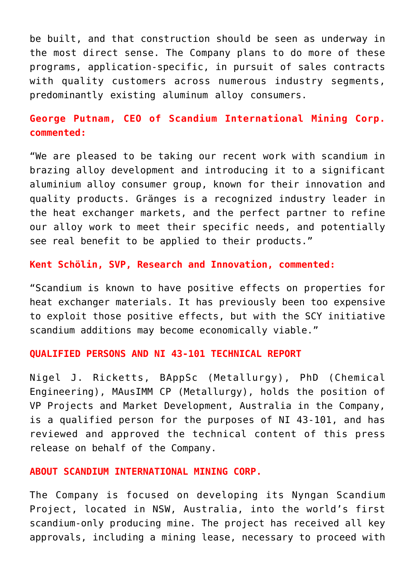be built, and that construction should be seen as underway in the most direct sense. The Company plans to do more of these programs, application-specific, in pursuit of sales contracts with quality customers across numerous industry segments, predominantly existing aluminum alloy consumers.

## **George Putnam, CEO of Scandium International Mining Corp. commented:**

"We are pleased to be taking our recent work with scandium in brazing alloy development and introducing it to a significant aluminium alloy consumer group, known for their innovation and quality products. Gränges is a recognized industry leader in the heat exchanger markets, and the perfect partner to refine our alloy work to meet their specific needs, and potentially see real benefit to be applied to their products."

# **Kent Schölin, SVP, Research and Innovation, commented:**

"Scandium is known to have positive effects on properties for heat exchanger materials. It has previously been too expensive to exploit those positive effects, but with the SCY initiative scandium additions may become economically viable."

#### **QUALIFIED PERSONS AND NI 43-101 TECHNICAL REPORT**

Nigel J. Ricketts, BAppSc (Metallurgy), PhD (Chemical Engineering), MAusIMM CP (Metallurgy), holds the position of VP Projects and Market Development, Australia in the Company, is a qualified person for the purposes of NI 43-101, and has reviewed and approved the technical content of this press release on behalf of the Company.

#### **ABOUT SCANDIUM INTERNATIONAL MINING CORP.**

The Company is focused on developing its Nyngan Scandium Project, located in NSW, Australia, into the world's first scandium-only producing mine. The project has received all key approvals, including a mining lease, necessary to proceed with